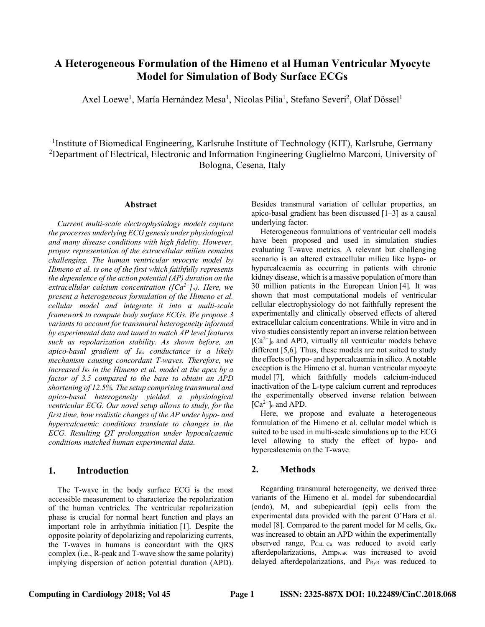# **A Heterogeneous Formulation of the Himeno et al Human Ventricular Myocyte Model for Simulation of Body Surface ECGs**

Axel Loewe<sup>1</sup>, María Hernández Mesa<sup>1</sup>, Nicolas Pilia<sup>1</sup>, Stefano Severi<sup>2</sup>, Olaf Dössel<sup>1</sup>

1Institute of Biomedical Engineering, Karlsruhe Institute of Technology (KIT), Karlsruhe, Germany <sup>2</sup>Department of Electrical, Electronic and Information Engineering Guglielmo Marconi, University of Bologna, Cesena, Italy

#### **Abstract**

*Current multi-scale electrophysiology models capture the processes underlying ECG genesis under physiological and many disease conditions with high fidelity. However, proper representation of the extracellular milieu remains challenging. The human ventricular myocyte model by Himeno et al. is one of the first which faithfully represents the dependence of the action potential (AP) duration on the extracellular calcium concentration ([Ca2+]o). Here, we present a heterogeneous formulation of the Himeno et al. cellular model and integrate it into a multi-scale framework to compute body surface ECGs. We propose 3 variants to account for transmural heterogeneity informed by experimental data and tuned to match AP level features such as repolarization stability. As shown before, an apico-basal gradient of IKs conductance is a likely mechanism causing concordant T-waves. Therefore, we increased IKs in the Himeno et al. model at the apex by a factor of 3.5 compared to the base to obtain an APD shortening of 12.5%. The setup comprising transmural and apico-basal heterogeneity yielded a physiological ventricular ECG. Our novel setup allows to study, for the first time, how realistic changes of the AP under hypo- and hypercalcaemic conditions translate to changes in the ECG. Resulting QT prolongation under hypocalcaemic conditions matched human experimental data.*

## **1. Introduction**

The T-wave in the body surface ECG is the most accessible measurement to characterize the repolarization of the human ventricles. The ventricular repolarization phase is crucial for normal heart function and plays an important role in arrhythmia initiation [1]. Despite the opposite polarity of depolarizing and repolarizing currents, the T-waves in humans is concordant with the QRS complex (i.e., R-peak and T-wave show the same polarity) implying dispersion of action potential duration (APD). Besides transmural variation of cellular properties, an apico-basal gradient has been discussed [1–3] as a causal underlying factor.

Heterogeneous formulations of ventricular cell models have been proposed and used in simulation studies evaluating T-wave metrics. A relevant but challenging scenario is an altered extracellular milieu like hypo- or hypercalcaemia as occurring in patients with chronic kidney disease, which is a massive population of more than 30 million patients in the European Union [4]. It was shown that most computational models of ventricular cellular electrophysiology do not faithfully represent the experimentally and clinically observed effects of altered extracellular calcium concentrations. While in vitro and in vivo studies consistently report an inverse relation between  $[Ca^{2+}]_o$  and APD, virtually all ventricular models behave different [5,6]. Thus, these models are not suited to study the effects of hypo- and hypercalcaemia in silico. A notable exception is the Himeno et al. human ventricular myocyte model [7], which faithfully models calcium-induced inactivation of the L-type calcium current and reproduces the experimentally observed inverse relation between  $[Ca^{2+}]_o$  and APD.

Here, we propose and evaluate a heterogeneous formulation of the Himeno et al. cellular model which is suited to be used in multi-scale simulations up to the ECG level allowing to study the effect of hypo- and hypercalcaemia on the T-wave.

## **2. Methods**

Regarding transmural heterogeneity, we derived three variants of the Himeno et al. model for subendocardial (endo), M, and subepicardial (epi) cells from the experimental data provided with the parent O'Hara et al. model [8]. Compared to the parent model for M cells,  $G_{Kr}$ was increased to obtain an APD within the experimentally observed range, PCaL\_Ca was reduced to avoid early afterdepolarizations, Amp<sub>NaK</sub> was increased to avoid delayed afterdepolarizations, and PRyR was reduced to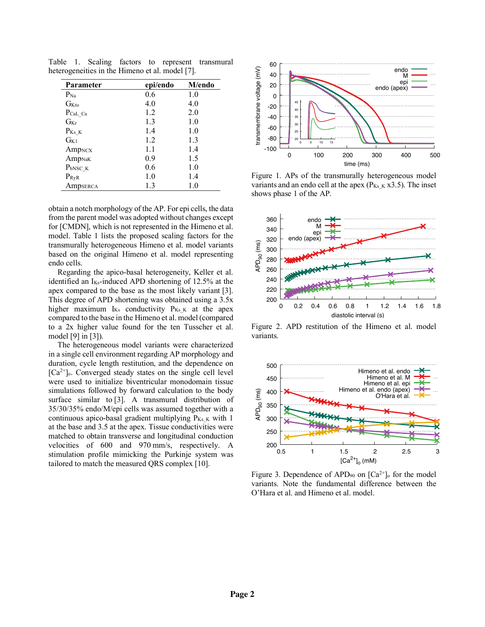| <b>Parameter</b>               | epi/endo | M/endo  |
|--------------------------------|----------|---------|
| $P_{Na}$                       | 0.6      | 1.0     |
| G <sub>Kto</sub>               | 4.0      | 4.0     |
| $P_{CaL_Ca}$                   | 1.2      | 2.0     |
| $G_{\rm Kr}$                   | 1.3      | 1.0     |
| $P_{Ks K}$                     | 1.4      | 1.0     |
| $\rm G_{K1}$                   | 1.2      | 1.3     |
| Amp <sub>NCX</sub>             | 1.1      | 1.4     |
| Amp <sub>NaK</sub>             | 0.9      | 1.5     |
| P <sub>bNSC</sub> <sub>K</sub> | 0.6      | 1.0     |
| $P_{\rm RyR}$                  | 1.0      | 1.4     |
| Ampserca                       | 1.3      | $1.0\,$ |

Table 1. Scaling factors to represent transmural heterogeneities in the Himeno et al. model [7].

obtain a notch morphology of the AP. For epi cells, the data from the parent model was adopted without changes except for [CMDN], which is not represented in the Himeno et al. model. Table 1 lists the proposed scaling factors for the transmurally heterogeneous Himeno et al. model variants based on the original Himeno et al. model representing endo cells.

Regarding the apico-basal heterogeneity, Keller et al. identified an  $I_{Ks}$ -induced APD shortening of 12.5% at the apex compared to the base as the most likely variant [3]. This degree of APD shortening was obtained using a 3.5x higher maximum  $I_{Ks}$  conductivity  $P_{Ks}$  at the apex compared to the base in the Himeno et al. model (compared to a 2x higher value found for the ten Tusscher et al. model [9] in [3]).

The heterogeneous model variants were characterized in a single cell environment regarding AP morphology and duration, cycle length restitution, and the dependence on  $[Ca<sup>2+</sup>]$ <sub>0</sub>. Converged steady states on the single cell level were used to initialize biventricular monodomain tissue simulations followed by forward calculation to the body surface similar to [3]. A transmural distribution of 35/30/35% endo/M/epi cells was assumed together with a continuous apico-basal gradient multiplying  $P_{Ks_K}$  with 1 at the base and 3.5 at the apex. Tissue conductivities were matched to obtain transverse and longitudinal conduction velocities of 600 and 970 mm/s, respectively. A stimulation profile mimicking the Purkinje system was tailored to match the measured QRS complex [10].



Figure 1. APs of the transmurally heterogeneous model variants and an endo cell at the apex ( $P_{Ks,K}$  x3.5). The inset shows phase 1 of the AP.



Figure 2. APD restitution of the Himeno et al. model variants.



Figure 3. Dependence of APD<sub>90</sub> on  $[Ca^{2+}]_0$  for the model variants. Note the fundamental difference between the O'Hara et al. and Himeno et al. model.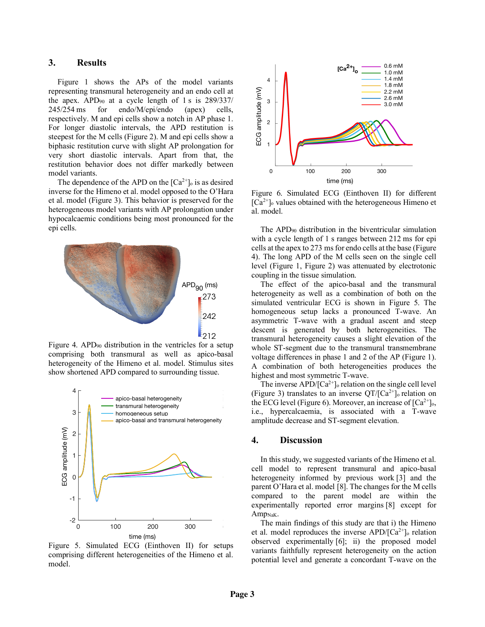### **3. Results**

Figure 1 shows the APs of the model variants representing transmural heterogeneity and an endo cell at the apex. APD90 at a cycle length of 1 s is 289/337/ 245/254 ms for endo/M/epi/endo (apex) cells, respectively. M and epi cells show a notch in AP phase 1. For longer diastolic intervals, the APD restitution is steepest for the M cells (Figure 2). M and epi cells show a biphasic restitution curve with slight AP prolongation for very short diastolic intervals. Apart from that, the restitution behavior does not differ markedly between model variants.

The dependence of the APD on the  $[Ca^{2+}]_0$  is as desired inverse for the Himeno et al. model opposed to the O'Hara et al. model (Figure 3). This behavior is preserved for the heterogeneous model variants with AP prolongation under hypocalcaemic conditions being most pronounced for the epi cells.



Figure 4. APD90 distribution in the ventricles for a setup comprising both transmural as well as apico-basal heterogeneity of the Himeno et al. model. Stimulus sites show shortened APD compared to surrounding tissue.



Figure 5. Simulated ECG (Einthoven II) for setups comprising different heterogeneities of the Himeno et al. model.



Figure 6. Simulated ECG (Einthoven II) for different  $[Ca^{2+}]$ <sub>o</sub> values obtained with the heterogeneous Himeno et al. model.

The APD90 distribution in the biventricular simulation with a cycle length of 1 s ranges between 212 ms for epi cells at the apex to 273 ms for endo cells at the base (Figure 4). The long APD of the M cells seen on the single cell level (Figure 1, Figure 2) was attenuated by electrotonic coupling in the tissue simulation.

The effect of the apico-basal and the transmural heterogeneity as well as a combination of both on the simulated ventricular ECG is shown in Figure 5. The homogeneous setup lacks a pronounced T-wave. An asymmetric T-wave with a gradual ascent and steep descent is generated by both heterogeneities. The transmural heterogeneity causes a slight elevation of the whole ST-segment due to the transmural transmembrane voltage differences in phase 1 and 2 of the AP (Figure 1). A combination of both heterogeneities produces the highest and most symmetric T-wave.

The inverse APD/ $\left[Ca^{2+}\right]$ <sub>o</sub> relation on the single cell level (Figure 3) translates to an inverse  $QT/[Ca^{2+}]_0$  relation on the ECG level (Figure 6). Moreover, an increase of  $[Ca^{2+}]_0$ , i.e., hypercalcaemia, is associated with a T-wave rogeneity amplitude decrease and ST-segment elevation.

## **4. Discussion**

In this study, we suggested variants of the Himeno et al. cell model to represent transmural and apico-basal heterogeneity informed by previous work [3] and the parent O'Hara et al. model [8]. The changes for the M cells compared to the parent model are within the experimentally reported error margins [8] except for Amp<sub>NaK</sub>.

The main findings of this study are that i) the Himeno et al. model reproduces the inverse  $APD/[Ca^{2+}]_o$  relation observed experimentally [6]; ii) the proposed model variants faithfully represent heterogeneity on the action potential level and generate a concordant T-wave on the